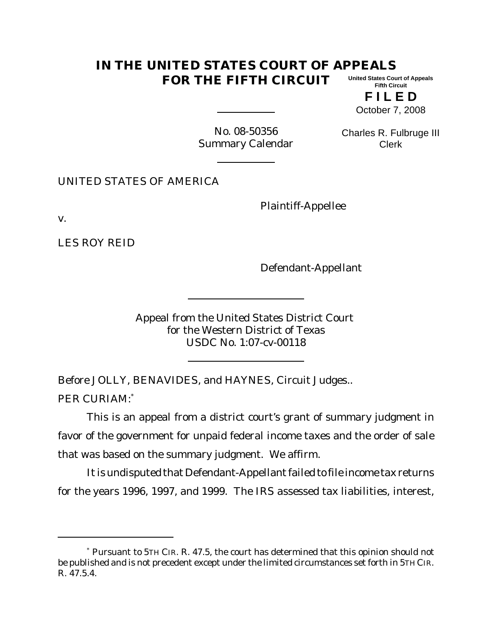## **IN THE UNITED STATES COURT OF APPEALS FOR THE FIFTH CIRCUIT United States Court of Appeals Fifth Circuit**

**F I L E D** October 7, 2008

No. 08-50356 Summary Calendar

Charles R. Fulbruge III Clerk

UNITED STATES OF AMERICA

Plaintiff-Appellee

v.

LES ROY REID

Defendant-Appellant

Appeal from the United States District Court for the Western District of Texas USDC No. 1:07-cv-00118

Before JOLLY, BENAVIDES, and HAYNES, Circuit Judges.. PER CURIAM:\*

This is an appeal from a district court's grant of summary judgment in favor of the government for unpaid federal income taxes and the order of sale that was based on the summary judgment. We affirm.

It is undisputed that Defendant-Appellant failed to file income tax returns for the years 1996, 1997, and 1999. The IRS assessed tax liabilities, interest,

<sup>\*</sup> Pursuant to 5TH CIR. R. 47.5, the court has determined that this opinion should not be published and is not precedent except under the limited circumstances set forth in 5TH CIR. R. 47.5.4.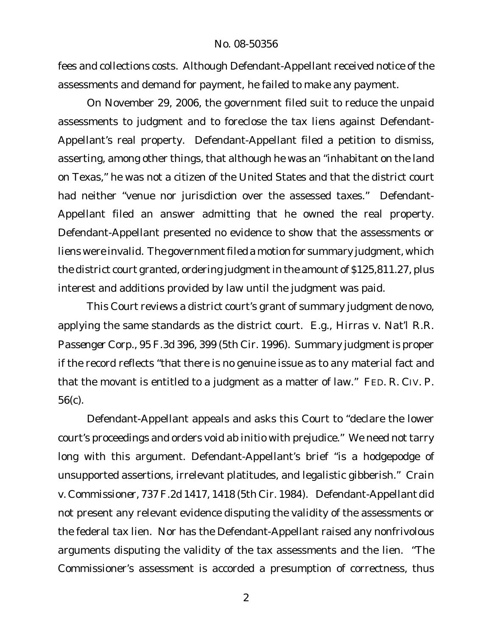fees and collections costs. Although Defendant-Appellant received notice of the assessments and demand for payment, he failed to make any payment.

On November 29, 2006, the government filed suit to reduce the unpaid assessments to judgment and to foreclose the tax liens against Defendant-Appellant's real property. Defendant-Appellant filed a petition to dismiss, asserting, among other things, that although he was an "inhabitant on the land on Texas," he was not a citizen of the United States and that the district court had neither "venue nor jurisdiction over the assessed taxes." Defendant-Appellant filed an answer admitting that he owned the real property. Defendant-Appellant presented no evidence to show that the assessments or liens were invalid. The government filed a motion for summary judgment, which the district court granted, ordering judgment in the amount of \$125,811.27, plus interest and additions provided by law until the judgment was paid.

This Court reviews a district court's grant of summary judgment de novo, applying the same standards as the district court. *E.g., Hirras v. Nat'l R.R. Passenger Corp*., 95 F.3d 396, 399 (5th Cir. 1996). Summary judgment is proper if the record reflects "that there is no genuine issue as to any material fact and that the movant is entitled to a judgment as a matter of law." FED. R. CIV. P. 56(c).

Defendant-Appellant appeals and asks this Court to "declare the lower court's proceedings and orders void *ab initio* with prejudice." We need not tarry long with this argument. Defendant-Appellant's brief "is a hodgepodge of unsupported assertions, irrelevant platitudes, and legalistic gibberish." *Crain v. Commissioner*, 737 F.2d 1417, 1418 (5th Cir. 1984). Defendant-Appellant did not present any relevant evidence disputing the validity of the assessments or the federal tax lien. Nor has the Defendant-Appellant raised any nonfrivolous arguments disputing the validity of the tax assessments and the lien. "The Commissioner's assessment is accorded a presumption of correctness, thus

2